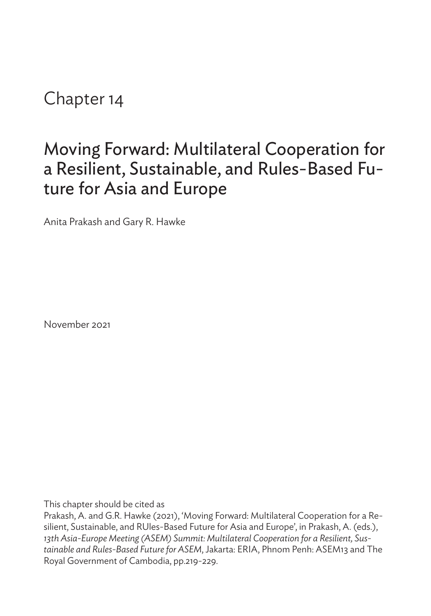Chapter 14

# Moving Forward: Multilateral Cooperation for a Resilient, Sustainable, and Rules-Based Future for Asia and Europe

Anita Prakash and Gary R. Hawke

November 2021

This chapter should be cited as

Prakash, A. and G.R. Hawke (2021), 'Moving Forward: Multilateral Cooperation for a Resilient, Sustainable, and RUles-Based Future for Asia and Europe', in Prakash, A. (eds.), *13th Asia-Europe Meeting (ASEM) Summit: Multilateral Cooperation for a Resilient, Sustainable and Rules-Based Future for ASEM*, Jakarta: ERIA, Phnom Penh: ASEM13 and The Royal Government of Cambodia, pp.219-229.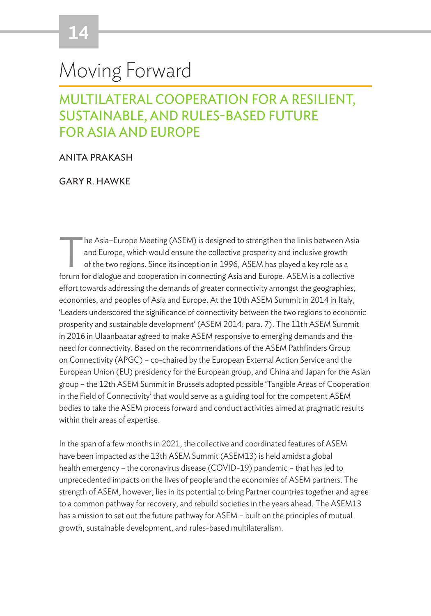# Moving Forward

# MULTILATERAL COOPERATION FOR A RESILIENT, SUSTAINABLE, AND RULES-BASED FUTURE FOR ASIA AND EUROPE

#### ANITA PRAKASH

GARY R. HAWKE

The Asia–Europe Meeting (ASEM) is designed to strengthen the links between Asia<br>and Europe, which would ensure the collective prosperity and inclusive growth<br>of the two regions. Since its inception in 1996, ASEM has played and Europe, which would ensure the collective prosperity and inclusive growth of the two regions. Since its inception in 1996, ASEM has played a key role as a forum for dialogue and cooperation in connecting Asia and Europe. ASEM is a collective effort towards addressing the demands of greater connectivity amongst the geographies, economies, and peoples of Asia and Europe. At the 10th ASEM Summit in 2014 in Italy, 'Leaders underscored the significance of connectivity between the two regions to economic prosperity and sustainable development' (ASEM 2014: para. 7). The 11th ASEM Summit in 2016 in Ulaanbaatar agreed to make ASEM responsive to emerging demands and the need for connectivity. Based on the recommendations of the ASEM Pathfinders Group on Connectivity (APGC) – co-chaired by the European External Action Service and the European Union (EU) presidency for the European group, and China and Japan for the Asian group – the 12th ASEM Summit in Brussels adopted possible 'Tangible Areas of Cooperation in the Field of Connectivity' that would serve as a guiding tool for the competent ASEM bodies to take the ASEM process forward and conduct activities aimed at pragmatic results within their areas of expertise.

In the span of a few months in 2021, the collective and coordinated features of ASEM have been impacted as the 13th ASEM Summit (ASEM13) is held amidst a global health emergency – the coronavirus disease (COVID-19) pandemic – that has led to unprecedented impacts on the lives of people and the economies of ASEM partners. The strength of ASEM, however, lies in its potential to bring Partner countries together and agree to a common pathway for recovery, and rebuild societies in the years ahead. The ASEM13 has a mission to set out the future pathway for ASEM – built on the principles of mutual growth, sustainable development, and rules-based multilateralism.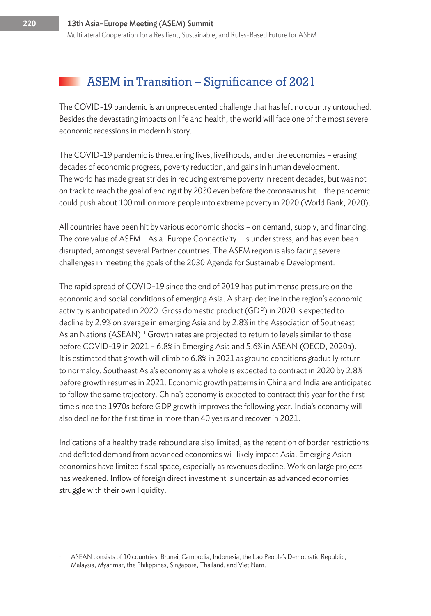### ASEM in Transition – Significance of 2021

The COVID-19 pandemic is an unprecedented challenge that has left no country untouched. Besides the devastating impacts on life and health, the world will face one of the most severe economic recessions in modern history.

The COVID-19 pandemic is threatening lives, livelihoods, and entire economies – erasing decades of economic progress, poverty reduction, and gains in human development. The world has made great strides in reducing extreme poverty in recent decades, but was not on track to reach the goal of ending it by 2030 even before the coronavirus hit – the pandemic could push about 100 million more people into extreme poverty in 2020 (World Bank, 2020).

All countries have been hit by various economic shocks – on demand, supply, and financing. The core value of ASEM – Asia–Europe Connectivity – is under stress, and has even been disrupted, amongst several Partner countries. The ASEM region is also facing severe challenges in meeting the goals of the 2030 Agenda for Sustainable Development.

The rapid spread of COVID-19 since the end of 2019 has put immense pressure on the economic and social conditions of emerging Asia. A sharp decline in the region's economic activity is anticipated in 2020. Gross domestic product (GDP) in 2020 is expected to decline by 2.9% on average in emerging Asia and by 2.8% in the Association of Southeast Asian Nations (ASEAN).<sup>1</sup> Growth rates are projected to return to levels similar to those before COVID-19 in 2021 – 6.8% in Emerging Asia and 5.6% in ASEAN (OECD, 2020a). It is estimated that growth will climb to 6.8% in 2021 as ground conditions gradually return to normalcy. Southeast Asia's economy as a whole is expected to contract in 2020 by 2.8% before growth resumes in 2021. Economic growth patterns in China and India are anticipated to follow the same trajectory. China's economy is expected to contract this year for the first time since the 1970s before GDP growth improves the following year. India's economy will also decline for the first time in more than 40 years and recover in 2021.

Indications of a healthy trade rebound are also limited, as the retention of border restrictions and deflated demand from advanced economies will likely impact Asia. Emerging Asian economies have limited fiscal space, especially as revenues decline. Work on large projects has weakened. Inflow of foreign direct investment is uncertain as advanced economies struggle with their own liquidity.

ASEAN consists of 10 countries: Brunei, Cambodia, Indonesia, the Lao People's Democratic Republic, Malaysia, Myanmar, the Philippines, Singapore, Thailand, and Viet Nam.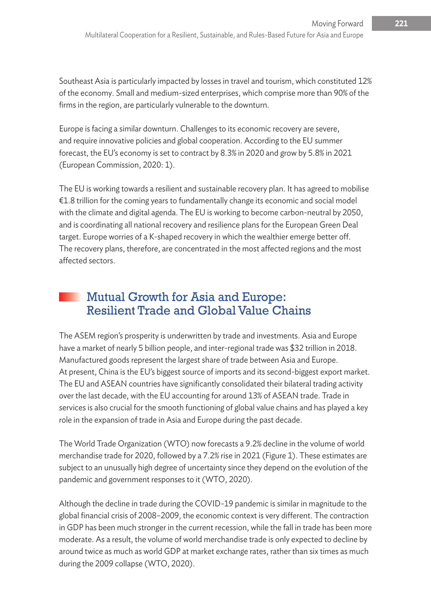Southeast Asia is particularly impacted by losses in travel and tourism, which constituted 12% of the economy. Small and medium-sized enterprises, which comprise more than 90% of the firms in the region, are particularly vulnerable to the downturn.

Europe is facing a similar downturn. Challenges to its economic recovery are severe, and require innovative policies and global cooperation. According to the EU summer forecast, the EU's economy is set to contract by 8.3% in 2020 and grow by 5.8% in 2021 (European Commission, 2020: 1).

The EU is working towards a resilient and sustainable recovery plan. It has agreed to mobilise €1.8 trillion for the coming years to fundamentally change its economic and social model with the climate and digital agenda. The EU is working to become carbon-neutral by 2050, and is coordinating all national recovery and resilience plans for the European Green Deal target. Europe worries of a K-shaped recovery in which the wealthier emerge better off. The recovery plans, therefore, are concentrated in the most affected regions and the most affected sectors.

# Mutual Growth for Asia and Europe: Resilient Trade and Global Value Chains

The ASEM region's prosperity is underwritten by trade and investments. Asia and Europe have a market of nearly 5 billion people, and inter-regional trade was \$32 trillion in 2018. Manufactured goods represent the largest share of trade between Asia and Europe. At present, China is the EU's biggest source of imports and its second-biggest export market. The EU and ASEAN countries have significantly consolidated their bilateral trading activity over the last decade, with the EU accounting for around 13% of ASEAN trade. Trade in services is also crucial for the smooth functioning of global value chains and has played a key role in the expansion of trade in Asia and Europe during the past decade.

The World Trade Organization (WTO) now forecasts a 9.2% decline in the volume of world merchandise trade for 2020, followed by a 7.2% rise in 2021 (Figure 1). These estimates are subject to an unusually high degree of uncertainty since they depend on the evolution of the pandemic and government responses to it (WTO, 2020).

Although the decline in trade during the COVID-19 pandemic is similar in magnitude to the global financial crisis of 2008–2009, the economic context is very different. The contraction in GDP has been much stronger in the current recession, while the fall in trade has been more moderate. As a result, the volume of world merchandise trade is only expected to decline by around twice as much as world GDP at market exchange rates, rather than six times as much during the 2009 collapse (WTO, 2020).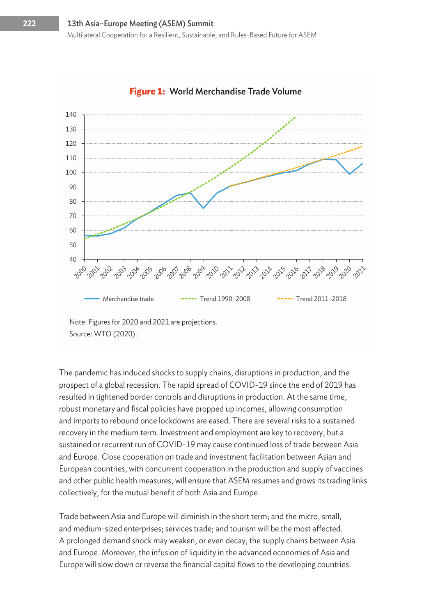

#### **Figure 1:** World Merchandise Trade Volume

Source: WTO (2020).

The pandemic has induced shocks to supply chains, disruptions in production, and the prospect of a global recession. The rapid spread of COVID-19 since the end of 2019 has resulted in tightened border controls and disruptions in production. At the same time, robust monetary and fiscal policies have propped up incomes, allowing consumption and imports to rebound once lockdowns are eased. There are several risks to a sustained recovery in the medium term. Investment and employment are key to recovery, but a sustained or recurrent run of COVID-19 may cause continued loss of trade between Asia and Europe. Close cooperation on trade and investment facilitation between Asian and European countries, with concurrent cooperation in the production and supply of vaccines and other public health measures, will ensure that ASEM resumes and grows its trading links collectively, for the mutual benefit of both Asia and Europe.

Trade between Asia and Europe will diminish in the short term; and the micro, small, and medium-sized enterprises; services trade; and tourism will be the most affected. A prolonged demand shock may weaken, or even decay, the supply chains between Asia and Europe. Moreover, the infusion of liquidity in the advanced economies of Asia and Europe will slow down or reverse the financial capital flows to the developing countries.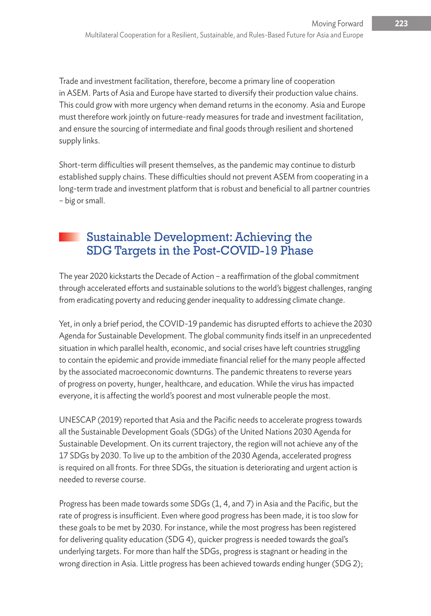Trade and investment facilitation, therefore, become a primary line of cooperation in ASEM. Parts of Asia and Europe have started to diversify their production value chains. This could grow with more urgency when demand returns in the economy. Asia and Europe must therefore work jointly on future-ready measures for trade and investment facilitation, and ensure the sourcing of intermediate and final goods through resilient and shortened supply links.

Short-term difficulties will present themselves, as the pandemic may continue to disturb established supply chains. These difficulties should not prevent ASEM from cooperating in a long-term trade and investment platform that is robust and beneficial to all partner countries – big or small.

# Sustainable Development: Achieving the SDG Targets in the Post-COVID-19 Phase

The year 2020 kickstarts the Decade of Action – a reaffirmation of the global commitment through accelerated efforts and sustainable solutions to the world's biggest challenges, ranging from eradicating poverty and reducing gender inequality to addressing climate change.

Yet, in only a brief period, the COVID-19 pandemic has disrupted efforts to achieve the 2030 Agenda for Sustainable Development. The global community finds itself in an unprecedented situation in which parallel health, economic, and social crises have left countries struggling to contain the epidemic and provide immediate financial relief for the many people affected by the associated macroeconomic downturns. The pandemic threatens to reverse years of progress on poverty, hunger, healthcare, and education. While the virus has impacted everyone, it is affecting the world's poorest and most vulnerable people the most.

UNESCAP (2019) reported that Asia and the Pacific needs to accelerate progress towards all the Sustainable Development Goals (SDGs) of the United Nations 2030 Agenda for Sustainable Development. On its current trajectory, the region will not achieve any of the 17 SDGs by 2030. To live up to the ambition of the 2030 Agenda, accelerated progress is required on all fronts. For three SDGs, the situation is deteriorating and urgent action is needed to reverse course.

Progress has been made towards some SDGs (1, 4, and 7) in Asia and the Pacific, but the rate of progress is insufficient. Even where good progress has been made, it is too slow for these goals to be met by 2030. For instance, while the most progress has been registered for delivering quality education (SDG 4), quicker progress is needed towards the goal's underlying targets. For more than half the SDGs, progress is stagnant or heading in the wrong direction in Asia. Little progress has been achieved towards ending hunger (SDG 2);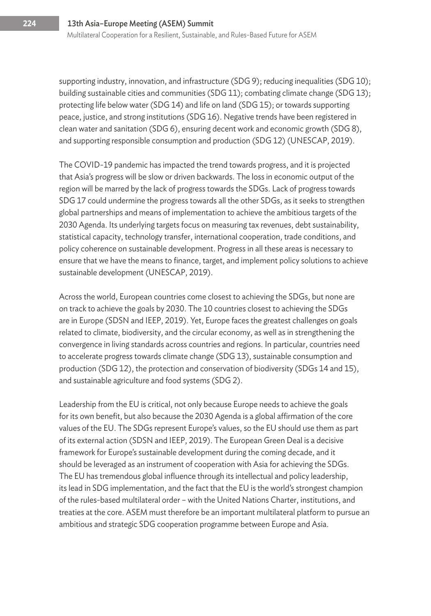supporting industry, innovation, and infrastructure (SDG 9); reducing inequalities (SDG 10); building sustainable cities and communities (SDG 11); combating climate change (SDG 13); protecting life below water (SDG 14) and life on land (SDG 15); or towards supporting peace, justice, and strong institutions (SDG 16). Negative trends have been registered in clean water and sanitation (SDG 6), ensuring decent work and economic growth (SDG 8), and supporting responsible consumption and production (SDG 12) (UNESCAP, 2019).

The COVID-19 pandemic has impacted the trend towards progress, and it is projected that Asia's progress will be slow or driven backwards. The loss in economic output of the region will be marred by the lack of progress towards the SDGs. Lack of progress towards SDG 17 could undermine the progress towards all the other SDGs, as it seeks to strengthen global partnerships and means of implementation to achieve the ambitious targets of the 2030 Agenda. Its underlying targets focus on measuring tax revenues, debt sustainability, statistical capacity, technology transfer, international cooperation, trade conditions, and policy coherence on sustainable development. Progress in all these areas is necessary to ensure that we have the means to finance, target, and implement policy solutions to achieve sustainable development (UNESCAP, 2019).

Across the world, European countries come closest to achieving the SDGs, but none are on track to achieve the goals by 2030. The 10 countries closest to achieving the SDGs are in Europe (SDSN and IEEP, 2019). Yet, Europe faces the greatest challenges on goals related to climate, biodiversity, and the circular economy, as well as in strengthening the convergence in living standards across countries and regions. In particular, countries need to accelerate progress towards climate change (SDG 13), sustainable consumption and production (SDG 12), the protection and conservation of biodiversity (SDGs 14 and 15), and sustainable agriculture and food systems (SDG 2).

Leadership from the EU is critical, not only because Europe needs to achieve the goals for its own benefit, but also because the 2030 Agenda is a global affirmation of the core values of the EU. The SDGs represent Europe's values, so the EU should use them as part of its external action (SDSN and IEEP, 2019). The European Green Deal is a decisive framework for Europe's sustainable development during the coming decade, and it should be leveraged as an instrument of cooperation with Asia for achieving the SDGs. The EU has tremendous global influence through its intellectual and policy leadership, its lead in SDG implementation, and the fact that the EU is the world's strongest champion of the rules-based multilateral order – with the United Nations Charter, institutions, and treaties at the core. ASEM must therefore be an important multilateral platform to pursue an ambitious and strategic SDG cooperation programme between Europe and Asia.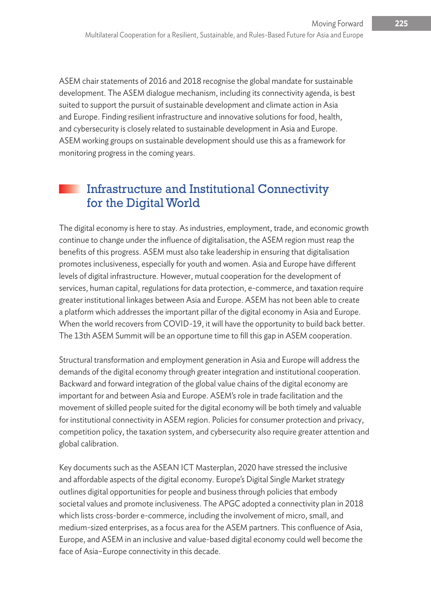ASEM chair statements of 2016 and 2018 recognise the global mandate for sustainable development. The ASEM dialogue mechanism, including its connectivity agenda, is best suited to support the pursuit of sustainable development and climate action in Asia and Europe. Finding resilient infrastructure and innovative solutions for food, health, and cybersecurity is closely related to sustainable development in Asia and Europe. ASEM working groups on sustainable development should use this as a framework for monitoring progress in the coming years.

## Infrastructure and Institutional Connectivity for the Digital World

The digital economy is here to stay. As industries, employment, trade, and economic growth continue to change under the influence of digitalisation, the ASEM region must reap the benefits of this progress. ASEM must also take leadership in ensuring that digitalisation promotes inclusiveness, especially for youth and women. Asia and Europe have different levels of digital infrastructure. However, mutual cooperation for the development of services, human capital, regulations for data protection, e-commerce, and taxation require greater institutional linkages between Asia and Europe. ASEM has not been able to create a platform which addresses the important pillar of the digital economy in Asia and Europe. When the world recovers from COVID-19, it will have the opportunity to build back better. The 13th ASEM Summit will be an opportune time to fill this gap in ASEM cooperation.

Structural transformation and employment generation in Asia and Europe will address the demands of the digital economy through greater integration and institutional cooperation. Backward and forward integration of the global value chains of the digital economy are important for and between Asia and Europe. ASEM's role in trade facilitation and the movement of skilled people suited for the digital economy will be both timely and valuable for institutional connectivity in ASEM region. Policies for consumer protection and privacy, competition policy, the taxation system, and cybersecurity also require greater attention and global calibration.

Key documents such as the ASEAN ICT Masterplan, 2020 have stressed the inclusive and affordable aspects of the digital economy. Europe's Digital Single Market strategy outlines digital opportunities for people and business through policies that embody societal values and promote inclusiveness. The APGC adopted a connectivity plan in 2018 which lists cross-border e-commerce, including the involvement of micro, small, and medium-sized enterprises, as a focus area for the ASEM partners. This confluence of Asia, Europe, and ASEM in an inclusive and value-based digital economy could well become the face of Asia–Europe connectivity in this decade.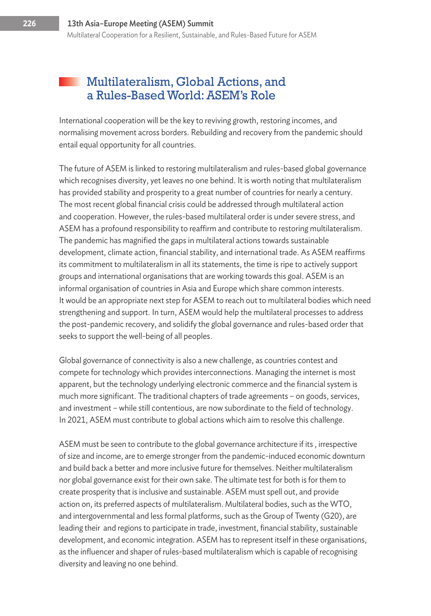### Multilateralism, Global Actions, and a Rules-Based World: ASEM's Role

International cooperation will be the key to reviving growth, restoring incomes, and normalising movement across borders. Rebuilding and recovery from the pandemic should entail equal opportunity for all countries.

The future of ASEM is linked to restoring multilateralism and rules-based global governance which recognises diversity, yet leaves no one behind. It is worth noting that multilateralism has provided stability and prosperity to a great number of countries for nearly a century. The most recent global financial crisis could be addressed through multilateral action and cooperation. However, the rules-based multilateral order is under severe stress, and ASEM has a profound responsibility to reaffirm and contribute to restoring multilateralism. The pandemic has magnified the gaps in multilateral actions towards sustainable development, climate action, financial stability, and international trade. As ASEM reaffirms its commitment to multilateralism in all its statements, the time is ripe to actively support groups and international organisations that are working towards this goal. ASEM is an informal organisation of countries in Asia and Europe which share common interests. It would be an appropriate next step for ASEM to reach out to multilateral bodies which need strengthening and support. In turn, ASEM would help the multilateral processes to address the post-pandemic recovery, and solidify the global governance and rules-based order that seeks to support the well-being of all peoples.

Global governance of connectivity is also a new challenge, as countries contest and compete for technology which provides interconnections. Managing the internet is most apparent, but the technology underlying electronic commerce and the financial system is much more significant. The traditional chapters of trade agreements – on goods, services, and investment – while still contentious, are now subordinate to the field of technology. In 2021, ASEM must contribute to global actions which aim to resolve this challenge.

ASEM must be seen to contribute to the global governance architecture if its , irrespective of size and income, are to emerge stronger from the pandemic-induced economic downturn and build back a better and more inclusive future for themselves. Neither multilateralism nor global governance exist for their own sake. The ultimate test for both is for them to create prosperity that is inclusive and sustainable. ASEM must spell out, and provide action on, its preferred aspects of multilateralism. Multilateral bodies, such as the WTO, and intergovernmental and less formal platforms, such as the Group of Twenty (G20), are leading their and regions to participate in trade, investment, financial stability, sustainable development, and economic integration. ASEM has to represent itself in these organisations, as the influencer and shaper of rules-based multilateralism which is capable of recognising diversity and leaving no one behind.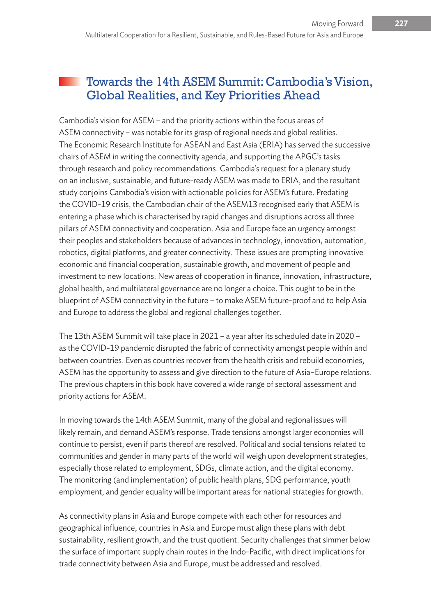## Towards the 14th ASEM Summit: Cambodia's Vision, Global Realities, and Key Priorities Ahead

Cambodia's vision for ASEM – and the priority actions within the focus areas of ASEM connectivity – was notable for its grasp of regional needs and global realities. The Economic Research Institute for ASEAN and East Asia (ERIA) has served the successive chairs of ASEM in writing the connectivity agenda, and supporting the APGC's tasks through research and policy recommendations. Cambodia's request for a plenary study on an inclusive, sustainable, and future-ready ASEM was made to ERIA, and the resultant study conjoins Cambodia's vision with actionable policies for ASEM's future. Predating the COVID-19 crisis, the Cambodian chair of the ASEM13 recognised early that ASEM is entering a phase which is characterised by rapid changes and disruptions across all three pillars of ASEM connectivity and cooperation. Asia and Europe face an urgency amongst their peoples and stakeholders because of advances in technology, innovation, automation, robotics, digital platforms, and greater connectivity. These issues are prompting innovative economic and financial cooperation, sustainable growth, and movement of people and investment to new locations. New areas of cooperation in finance, innovation, infrastructure, global health, and multilateral governance are no longer a choice. This ought to be in the blueprint of ASEM connectivity in the future – to make ASEM future-proof and to help Asia and Europe to address the global and regional challenges together.

The 13th ASEM Summit will take place in 2021 – a year after its scheduled date in 2020 – as the COVID-19 pandemic disrupted the fabric of connectivity amongst people within and between countries. Even as countries recover from the health crisis and rebuild economies, ASEM has the opportunity to assess and give direction to the future of Asia–Europe relations. The previous chapters in this book have covered a wide range of sectoral assessment and priority actions for ASEM.

In moving towards the 14th ASEM Summit, many of the global and regional issues will likely remain, and demand ASEM's response. Trade tensions amongst larger economies will continue to persist, even if parts thereof are resolved. Political and social tensions related to communities and gender in many parts of the world will weigh upon development strategies, especially those related to employment, SDGs, climate action, and the digital economy. The monitoring (and implementation) of public health plans, SDG performance, youth employment, and gender equality will be important areas for national strategies for growth.

As connectivity plans in Asia and Europe compete with each other for resources and geographical influence, countries in Asia and Europe must align these plans with debt sustainability, resilient growth, and the trust quotient. Security challenges that simmer below the surface of important supply chain routes in the Indo-Pacific, with direct implications for trade connectivity between Asia and Europe, must be addressed and resolved.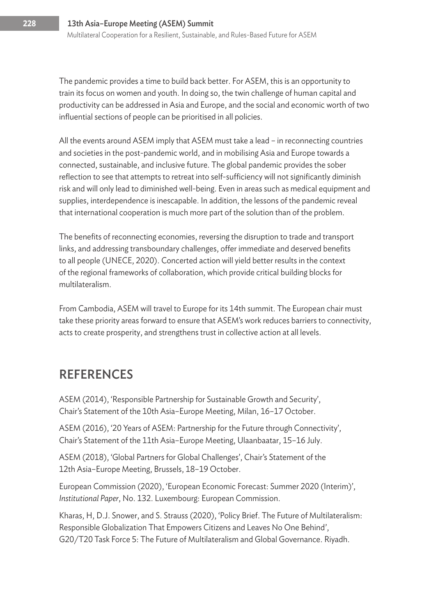The pandemic provides a time to build back better. For ASEM, this is an opportunity to train its focus on women and youth. In doing so, the twin challenge of human capital and productivity can be addressed in Asia and Europe, and the social and economic worth of two influential sections of people can be prioritised in all policies.

All the events around ASEM imply that ASEM must take a lead – in reconnecting countries and societies in the post-pandemic world, and in mobilising Asia and Europe towards a connected, sustainable, and inclusive future. The global pandemic provides the sober reflection to see that attempts to retreat into self-sufficiency will not significantly diminish risk and will only lead to diminished well-being. Even in areas such as medical equipment and supplies, interdependence is inescapable. In addition, the lessons of the pandemic reveal that international cooperation is much more part of the solution than of the problem.

The benefits of reconnecting economies, reversing the disruption to trade and transport links, and addressing transboundary challenges, offer immediate and deserved benefits to all people (UNECE, 2020). Concerted action will yield better results in the context of the regional frameworks of collaboration, which provide critical building blocks for multilateralism.

From Cambodia, ASEM will travel to Europe for its 14th summit. The European chair must take these priority areas forward to ensure that ASEM's work reduces barriers to connectivity, acts to create prosperity, and strengthens trust in collective action at all levels.

# **REFERENCES**

ASEM (2014), 'Responsible Partnership for Sustainable Growth and Security', Chair's Statement of the 10th Asia–Europe Meeting, Milan, 16–17 October.

ASEM (2016), '20 Years of ASEM: Partnership for the Future through Connectivity', Chair's Statement of the 11th Asia–Europe Meeting, Ulaanbaatar, 15–16 July.

ASEM (2018), 'Global Partners for Global Challenges', Chair's Statement of the 12th Asia–Europe Meeting, Brussels, 18–19 October.

European Commission (2020), 'European Economic Forecast: Summer 2020 (Interim)', *Institutional Paper*, No. 132. Luxembourg: European Commission.

Kharas, H, D.J. Snower, and S. Strauss (2020), 'Policy Brief. The Future of Multilateralism: Responsible Globalization That Empowers Citizens and Leaves No One Behind', G20/T20 Task Force 5: The Future of Multilateralism and Global Governance. Riyadh.